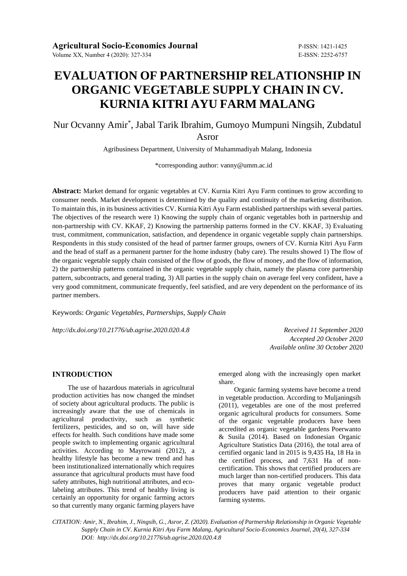# **EVALUATION OF PARTNERSHIP RELATIONSHIP IN ORGANIC VEGETABLE SUPPLY CHAIN IN CV. KURNIA KITRI AYU FARM MALANG**

# Nur Ocvanny Amir\* , Jabal Tarik Ibrahim, Gumoyo Mumpuni Ningsih, Zubdatul

Asror

Agribusiness Department, University of Muhammadiyah Malang, Indonesia

\*corresponding author: [vanny@umm.ac.id](mailto:vanny@umm.ac.id)

**Abstract:** Market demand for organic vegetables at CV. Kurnia Kitri Ayu Farm continues to grow according to consumer needs. Market development is determined by the quality and continuity of the marketing distribution. To maintain this, in its business activities CV. Kurnia Kitri Ayu Farm established partnerships with several parties. The objectives of the research were 1) Knowing the supply chain of organic vegetables both in partnership and non-partnership with CV. KKAF, 2) Knowing the partnership patterns formed in the CV. KKAF, 3) Evaluating trust, commitment, communication, satisfaction, and dependence in organic vegetable supply chain partnerships. Respondents in this study consisted of the head of partner farmer groups, owners of CV. Kurnia Kitri Ayu Farm and the head of staff as a permanent partner for the home industry (baby care). The results showed 1) The flow of the organic vegetable supply chain consisted of the flow of goods, the flow of money, and the flow of information, 2) the partnership patterns contained in the organic vegetable supply chain, namely the plasma core partnership pattern, subcontracts, and general trading, 3) All parties in the supply chain on average feel very confident, have a very good commitment, communicate frequently, feel satisfied, and are very dependent on the performance of its partner members.

Keywords: *Organic Vegetables, Partnerships, Supply Chain*

*http://dx.doi.org/10.21776/ub.agrise.2020.020.4.8 Received 11 September 2020* 

*Accepted 20 October 2020 Available online 30 October 2020*

#### **INTRODUCTION**

The use of hazardous materials in agricultural production activities has now changed the mindset of society about agricultural products. The public is increasingly aware that the use of chemicals in agricultural productivity, such as synthetic fertilizers, pesticides, and so on, will have side effects for health. Such conditions have made some people switch to implementing organic agricultural activities. According to Mayrowani (2012), a healthy lifestyle has become a new trend and has been institutionalized internationally which requires assurance that agricultural products must have food safety attributes, high nutritional attributes, and ecolabeling attributes. This trend of healthy living is certainly an opportunity for organic farming actors so that currently many organic farming players have

emerged along with the increasingly open market share.

Organic farming systems have become a trend in vegetable production. According to Muljaningsih (2011), vegetables are one of the most preferred organic agricultural products for consumers. Some of the organic vegetable producers have been accredited as organic vegetable gardens Poerwanto & Susila (2014). Based on Indonesian Organic Agriculture Statistics Data (2016), the total area of certified organic land in 2015 is 9,435 Ha, 18 Ha in the certified process, and 7,631 Ha of noncertification. This shows that certified producers are much larger than non-certified producers. This data proves that many organic vegetable product producers have paid attention to their organic farming systems.

*CITATION: Amir, N., Ibrahim, J., Ningsih, G., Asror, Z. (2020). Evaluation of Partnership Relationship in Organic Vegetable Supply Chain in CV. Kurnia Kitri Ayu Farm Malang, Agricultural Socio-Economics Journal, 20(4), 327-334 DOI: http://dx.doi.org/10.21776/ub.agrise.2020.020.4.8*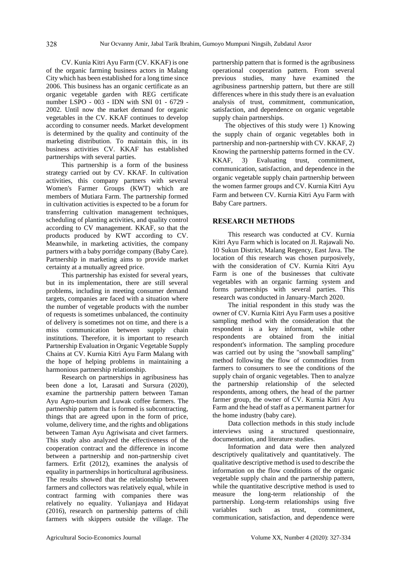CV. Kunia Kitri Ayu Farm (CV. KKAF) is one of the organic farming business actors in Malang City which has been established for a long time since 2006. This business has an organic certificate as an organic vegetable garden with REG certificate number LSPO - 003 - IDN with SNI 01 - 6729 - 2002. Until now the market demand for organic vegetables in the CV. KKAF continues to develop according to consumer needs. Market development is determined by the quality and continuity of the marketing distribution. To maintain this, in its business activities CV. KKAF has established partnerships with several parties.

This partnership is a form of the business strategy carried out by CV. KKAF. In cultivation activities, this company partners with several Women's Farmer Groups (KWT) which are members of Mutiara Farm. The partnership formed in cultivation activities is expected to be a forum for transferring cultivation management techniques, scheduling of planting activities, and quality control according to CV management. KKAF, so that the products produced by KWT according to CV. Meanwhile, in marketing activities, the company partners with a baby porridge company (Baby Care). Partnership in marketing aims to provide market certainty at a mutually agreed price.

This partnership has existed for several years, but in its implementation, there are still several problems, including in meeting consumer demand targets, companies are faced with a situation where the number of vegetable products with the number of requests is sometimes unbalanced, the continuity of delivery is sometimes not on time, and there is a miss communication between supply chain institutions. Therefore, it is important to research Partnership Evaluation in Organic Vegetable Supply Chains at CV. Kurnia Kitri Ayu Farm Malang with the hope of helping problems in maintaining a harmonious partnership relationship.

Research on partnerships in agribusiness has been done a lot, Larasati and Sursura (2020), examine the partnership pattern between Taman Ayu Agro-tourism and Luwak coffee farmers. The partnership pattern that is formed is subcontracting, things that are agreed upon in the form of price, volume, delivery time, and the rights and obligations between Taman Ayu Agriwisata and civet farmers. This study also analyzed the effectiveness of the cooperation contract and the difference in income between a partnership and non-partnership civet farmers. Erfit (2012), examines the analysis of equality in partnerships in horticultural agribusiness. The results showed that the relationship between farmers and collectors was relatively equal, while in contract farming with companies there was relatively no equality. Yulianjaya and Hidayat (2016), research on partnership patterns of chili farmers with skippers outside the village. The

partnership pattern that is formed is the agribusiness operational cooperation pattern. From several previous studies, many have examined the agribusiness partnership pattern, but there are still differences where in this study there is an evaluation analysis of trust, commitment, communication, satisfaction, and dependence on organic vegetable supply chain partnerships.

The objectives of this study were 1) Knowing the supply chain of organic vegetables both in partnership and non-partnership with CV. KKAF, 2) Knowing the partnership patterns formed in the CV. KKAF, 3) Evaluating trust, commitment, communication, satisfaction, and dependence in the organic vegetable supply chain partnership between the women farmer groups and CV. Kurnia Kitri Ayu Farm and between CV. Kurnia Kitri Ayu Farm with Baby Care partners.

#### **RESEARCH METHODS**

This research was conducted at CV. Kurnia Kitri Ayu Farm which is located on Jl. Rajawali No. 10 Sukun District, Malang Regency, East Java. The location of this research was chosen purposively, with the consideration of CV. Kurnia Kitri Ayu Farm is one of the businesses that cultivate vegetables with an organic farming system and forms partnerships with several parties. This research was conducted in January-March 2020.

The initial respondent in this study was the owner of CV. Kurnia Kitri Ayu Farm uses a positive sampling method with the consideration that the respondent is a key informant, while other respondents are obtained from the initial respondent's information. The sampling procedure was carried out by using the "snowball sampling" method following the flow of commodities from farmers to consumers to see the conditions of the supply chain of organic vegetables. Then to analyze the partnership relationship of the selected respondents, among others, the head of the partner farmer group, the owner of CV. Kurnia Kitri Ayu Farm and the head of staff as a permanent partner for the home industry (baby care).

Data collection methods in this study include interviews using a structured questionnaire, documentation, and literature studies.

Information and data were then analyzed descriptively qualitatively and quantitatively. The qualitative descriptive method is used to describe the information on the flow conditions of the organic vegetable supply chain and the partnership pattern, while the quantitative descriptive method is used to measure the long-term relationship of the partnership. Long-term relationships using five variables such as trust, commitment, communication, satisfaction, and dependence were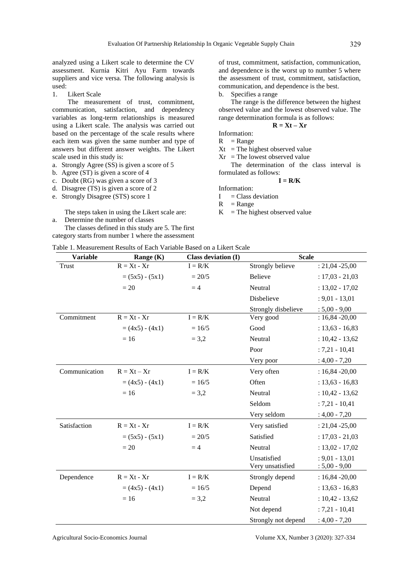analyzed using a Likert scale to determine the CV assessment. Kurnia Kitri Ayu Farm towards suppliers and vice versa. The following analysis is used:

1. Likert Scale

The measurement of trust, commitment, communication, satisfaction, and dependency variables as long-term relationships is measured using a Likert scale. The analysis was carried out based on the percentage of the scale results where each item was given the same number and type of answers but different answer weights. The Likert scale used in this study is:

- a. Strongly Agree (SS) is given a score of 5
- b. Agree (ST) is given a score of 4
- c. Doubt (RG) was given a score of 3
- d. Disagree (TS) is given a score of 2
- e. Strongly Disagree (STS) score 1

The steps taken in using the Likert scale are:

a. Determine the number of classes

The classes defined in this study are 5. The first category starts from number 1 where the assessment

of trust, commitment, satisfaction, communication, and dependence is the worst up to number 5 where the assessment of trust, commitment, satisfaction, communication, and dependence is the best.

b. Specifies a range

The range is the difference between the highest observed value and the lowest observed value. The range determination formula is as follows:

$$
\mathbf{R} = \mathbf{X}t - \mathbf{X}\mathbf{r}
$$

Information:

 $R$  = Range

 $Xt =$ The highest observed value

 $Xr =$ The lowest observed value The determination of the class interval is

formulated as follows:

# $I = R/K$

Information:

 $I = Class deviation$ 

 $R$  = Range

 $K =$ The highest observed value

#### Table 1. Measurement Results of Each Variable Based on a Likert Scale

| <b>Variable</b> | Range $(K)$       | <b>Class deviation (I)</b> | <b>Scale</b>                    |                                     |
|-----------------|-------------------|----------------------------|---------------------------------|-------------------------------------|
| Trust           | $R = Xt - Xr$     | $I = R/K$                  | Strongly believe                | $: 21,04 - 25,00$                   |
|                 | $= (5x5) - (5x1)$ | $= 20/5$                   | Believe                         | $: 17,03 - 21,03$                   |
|                 | $=20$             | $=4$                       | Neutral                         | $: 13,02 - 17,02$                   |
|                 |                   |                            | Disbelieve                      | $: 9,01 - 13,01$                    |
|                 |                   |                            | Strongly disbelieve             | $: 5,00 - 9,00$                     |
| Commitment      | $R = Xt - Xr$     | $I = R/K$                  | Very good                       | $: 16,84 - 20,00$                   |
|                 | $= (4x5) - (4x1)$ | $= 16/5$                   | Good                            | $: 13,63 - 16,83$                   |
|                 | $=16$             | $= 3,2$                    | Neutral                         | $: 10,42 - 13,62$                   |
|                 |                   |                            | Poor                            | $: 7,21 - 10,41$                    |
|                 |                   |                            | Very poor                       | $: 4,00 - 7,20$                     |
| Communication   | $R = Xt - Xr$     | $I = R/K$                  | Very often                      | $: 16,84 - 20,00$                   |
|                 | $= (4x5) - (4x1)$ | $= 16/5$                   | Often                           | $: 13,63 - 16,83$                   |
|                 | $= 16$            | $= 3,2$                    | Neutral                         | $: 10,42 - 13,62$                   |
|                 |                   |                            | Seldom                          | $: 7,21 - 10,41$                    |
|                 |                   |                            | Very seldom                     | $: 4,00 - 7,20$                     |
| Satisfaction    | $R = Xt - Xr$     | $I = R/K$                  | Very satisfied                  | $: 21,04 - 25,00$                   |
|                 | $= (5x5) - (5x1)$ | $= 20/5$                   | Satisfied                       | $: 17,03 - 21,03$                   |
|                 | $=20$             | $=4$                       | Neutral                         | $: 13,02 - 17,02$                   |
|                 |                   |                            | Unsatisfied<br>Very unsatisfied | $: 9,01 - 13,01$<br>$: 5,00 - 9,00$ |
| Dependence      | $R = Xt - Xr$     | $I = R/K$                  | Strongly depend                 | $: 16,84 - 20,00$                   |
|                 | $= (4x5) - (4x1)$ | $= 16/5$                   | Depend                          | $: 13,63 - 16,83$                   |
|                 | $=16$             | $= 3,2$                    | Neutral                         | $: 10,42 - 13,62$                   |
|                 |                   |                            | Not depend                      | $: 7,21 - 10,41$                    |
|                 |                   |                            | Strongly not depend             | $: 4,00 - 7,20$                     |

Agricultural Socio-Economics Journal Volume XX, Number 3 (2020): 327-334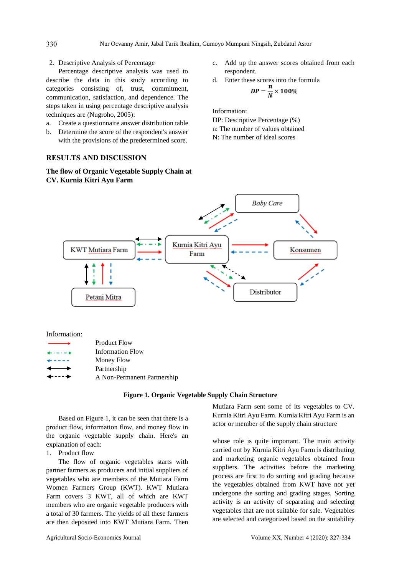### 2. Descriptive Analysis of Percentage

Percentage descriptive analysis was used to describe the data in this study according to categories consisting of, trust, commitment, communication, satisfaction, and dependence. The steps taken in using percentage descriptive analysis techniques are (Nugroho, 2005):

- a. Create a questionnaire answer distribution table
- b. Determine the score of the respondent's answer with the provisions of the predetermined score.

# **RESULTS AND DISCUSSION**

**The flow of Organic Vegetable Supply Chain at CV. Kurnia Kitri Ayu Farm**

- c. Add up the answer scores obtained from each respondent.
- d. Enter these scores into the formula

$$
DP = \frac{N}{N} \times 100\%
$$

Information:

DP: Descriptive Percentage (%) n: The number of values obtained

- N: The number of ideal scores
- **Baby Care** Kurnia Kitri Ayu **KWT Mutiara Farm** Konsumen Farm Distributor Petani Mitra

Information:

| $\sim$                                                                                                                                                                                                                                                                                                                                                                                       | <b>Product Flow</b>         |
|----------------------------------------------------------------------------------------------------------------------------------------------------------------------------------------------------------------------------------------------------------------------------------------------------------------------------------------------------------------------------------------------|-----------------------------|
| $\frac{1}{2} \left( \frac{1}{2} \left( \frac{1}{2} \left( \frac{1}{2} \left( \frac{1}{2} \left( \frac{1}{2} \left( \frac{1}{2} \left( \frac{1}{2} \right) \right) - \frac{1}{2} \right) \right) \right) - \frac{1}{2} \right) \left( \frac{1}{2} \left( \frac{1}{2} \left( \frac{1}{2} \left( \frac{1}{2} \left( \frac{1}{2} \right) - \frac{1}{2} \right) \right) \right) \right) \right)$  | <b>Information Flow</b>     |
| $\frac{1}{2} \frac{1}{2} \frac{1}{2} \frac{1}{2} \frac{1}{2} \frac{1}{2} \frac{1}{2} \frac{1}{2} \frac{1}{2} \frac{1}{2} \frac{1}{2} \frac{1}{2} \frac{1}{2} \frac{1}{2} \frac{1}{2} \frac{1}{2} \frac{1}{2} \frac{1}{2} \frac{1}{2} \frac{1}{2} \frac{1}{2} \frac{1}{2} \frac{1}{2} \frac{1}{2} \frac{1}{2} \frac{1}{2} \frac{1}{2} \frac{1}{2} \frac{1}{2} \frac{1}{2} \frac{1}{2} \frac{$ | Money Flow                  |
| $\overline{\phantom{0}}$                                                                                                                                                                                                                                                                                                                                                                     | Partnership                 |
| $\leftarrow$ - - - $\rightarrow$                                                                                                                                                                                                                                                                                                                                                             | A Non-Permanent Partnership |

#### **Figure 1. Organic Vegetable Supply Chain Structure**

Based on Figure 1, it can be seen that there is a product flow, information flow, and money flow in the organic vegetable supply chain. Here's an explanation of each:

1. Product flow

The flow of organic vegetables starts with partner farmers as producers and initial suppliers of vegetables who are members of the Mutiara Farm Women Farmers Group (KWT). KWT Mutiara Farm covers 3 KWT, all of which are KWT members who are organic vegetable producers with a total of 30 farmers. The yields of all these farmers are then deposited into KWT Mutiara Farm. Then Mutiara Farm sent some of its vegetables to CV. Kurnia Kitri Ayu Farm. Kurnia Kitri Ayu Farm is an actor or member of the supply chain structure

whose role is quite important. The main activity carried out by Kurnia Kitri Ayu Farm is distributing and marketing organic vegetables obtained from suppliers. The activities before the marketing process are first to do sorting and grading because the vegetables obtained from KWT have not yet undergone the sorting and grading stages. Sorting activity is an activity of separating and selecting vegetables that are not suitable for sale. Vegetables are selected and categorized based on the suitability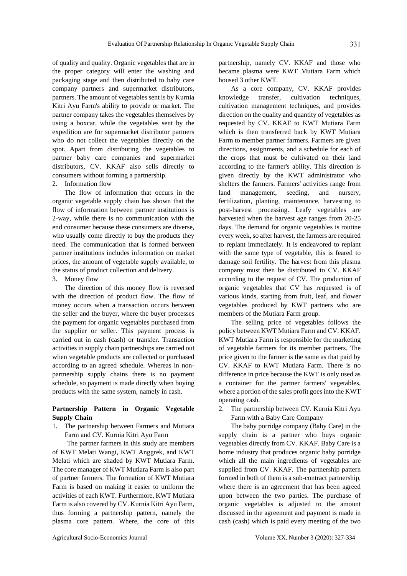of quality and quality. Organic vegetables that are in the proper category will enter the washing and packaging stage and then distributed to baby care company partners and supermarket distributors, partners. The amount of vegetables sent is by Kurnia Kitri Ayu Farm's ability to provide or market. The partner company takes the vegetables themselves by using a boxcar, while the vegetables sent by the expedition are for supermarket distributor partners who do not collect the vegetables directly on the spot. Apart from distributing the vegetables to partner baby care companies and supermarket distributors, CV. KKAF also sells directly to consumers without forming a partnership.

#### 2. Information flow

The flow of information that occurs in the organic vegetable supply chain has shown that the flow of information between partner institutions is 2-way, while there is no communication with the end consumer because these consumers are diverse, who usually come directly to buy the products they need. The communication that is formed between partner institutions includes information on market prices, the amount of vegetable supply available, to the status of product collection and delivery.

3. Money flow

The direction of this money flow is reversed with the direction of product flow. The flow of money occurs when a transaction occurs between the seller and the buyer, where the buyer processes the payment for organic vegetables purchased from the supplier or seller. This payment process is carried out in cash (cash) or transfer. Transaction activities in supply chain partnerships are carried out when vegetable products are collected or purchased according to an agreed schedule. Whereas in nonpartnership supply chains there is no payment schedule, so payment is made directly when buying products with the same system, namely in cash.

## **Partnership Pattern in Organic Vegetable Supply Chain**

1. The partnership between Farmers and Mutiara Farm and CV. Kurnia Kitri Ayu Farm

The partner farmers in this study are members of KWT Melati Wangi, KWT Anggrek, and KWT Melati which are shaded by KWT Mutiara Farm. The core manager of KWT Mutiara Farm is also part of partner farmers. The formation of KWT Mutiara Farm is based on making it easier to uniform the activities of each KWT. Furthermore, KWT Mutiara Farm is also covered by CV. Kurnia Kitri Ayu Farm, thus forming a partnership pattern, namely the plasma core pattern. Where, the core of this partnership, namely CV. KKAF and those who became plasma were KWT Mutiara Farm which housed 3 other KWT.

As a core company, CV. KKAF provides knowledge transfer, cultivation techniques, cultivation management techniques, and provides direction on the quality and quantity of vegetables as requested by CV. KKAF to KWT Mutiara Farm which is then transferred back by KWT Mutiara Farm to member partner farmers. Farmers are given directions, assignments, and a schedule for each of the crops that must be cultivated on their land according to the farmer's ability. This direction is given directly by the KWT administrator who shelters the farmers. Farmers' activities range from land management, seeding, and nursery, fertilization, planting, maintenance, harvesting to post-harvest processing. Leafy vegetables are harvested when the harvest age ranges from 20-25 days. The demand for organic vegetables is routine every week, so after harvest, the farmers are required to replant immediately. It is endeavored to replant with the same type of vegetable, this is feared to damage soil fertility. The harvest from this plasma company must then be distributed to CV. KKAF according to the request of CV. The production of organic vegetables that CV has requested is of various kinds, starting from fruit, leaf, and flower vegetables produced by KWT partners who are members of the Mutiara Farm group.

The selling price of vegetables follows the policy between KWT Mutiara Farm and CV. KKAF. KWT Mutiara Farm is responsible for the marketing of vegetable farmers for its member partners. The price given to the farmer is the same as that paid by CV. KKAF to KWT Mutiara Farm. There is no difference in price because the KWT is only used as a container for the partner farmers' vegetables, where a portion of the sales profit goes into the KWT operating cash.

2. The partnership between CV. Kurnia Kitri Ayu Farm with a Baby Care Company

The baby porridge company (Baby Care) in the supply chain is a partner who buys organic vegetables directly from CV. KKAF. Baby Care is a home industry that produces organic baby porridge which all the main ingredients of vegetables are supplied from CV. KKAF. The partnership pattern formed in both of them is a sub-contract partnership, where there is an agreement that has been agreed upon between the two parties. The purchase of organic vegetables is adjusted to the amount discussed in the agreement and payment is made in cash (cash) which is paid every meeting of the two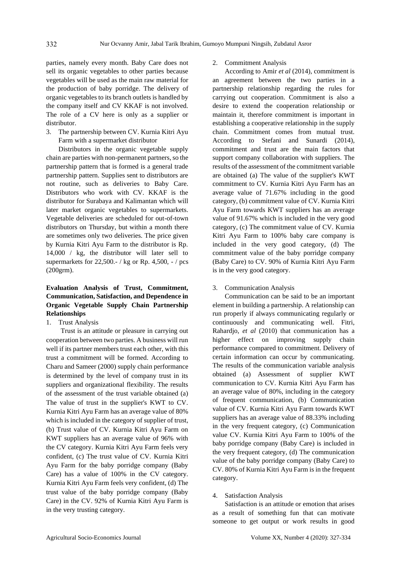parties, namely every month. Baby Care does not sell its organic vegetables to other parties because vegetables will be used as the main raw material for the production of baby porridge. The delivery of organic vegetables to its branch outlets is handled by the company itself and CV KKAF is not involved. The role of a CV here is only as a supplier or distributor.

3. The partnership between CV. Kurnia Kitri Ayu Farm with a supermarket distributor

Distributors in the organic vegetable supply chain are parties with non-permanent partners, so the partnership pattern that is formed is a general trade partnership pattern. Supplies sent to distributors are not routine, such as deliveries to Baby Care. Distributors who work with CV. KKAF is the distributor for Surabaya and Kalimantan which will later market organic vegetables to supermarkets. Vegetable deliveries are scheduled for out-of-town distributors on Thursday, but within a month there are sometimes only two deliveries. The price given by Kurnia Kitri Ayu Farm to the distributor is Rp. 14,000 / kg, the distributor will later sell to supermarkets for 22,500.- / kg or Rp. 4,500, - / pcs (200grm).

# **Evaluation Analysis of Trust, Commitment, Communication, Satisfaction, and Dependence in Organic Vegetable Supply Chain Partnership Relationships**

1. Trust Analysis

Trust is an attitude or pleasure in carrying out cooperation between two parties. A business will run well if its partner members trust each other, with this trust a commitment will be formed. According to Charu and Sameer (2000) supply chain performance is determined by the level of company trust in its suppliers and organizational flexibility. The results of the assessment of the trust variable obtained (a) The value of trust in the supplier's KWT to CV. Kurnia Kitri Ayu Farm has an average value of 80% which is included in the category of supplier of trust, (b) Trust value of CV. Kurnia Kitri Ayu Farm on KWT suppliers has an average value of 96% with the CV category. Kurnia Kitri Ayu Farm feels very confident, (c) The trust value of CV. Kurnia Kitri Ayu Farm for the baby porridge company (Baby Care) has a value of 100% in the CV category. Kurnia Kitri Ayu Farm feels very confident, (d) The trust value of the baby porridge company (Baby Care) in the CV. 92% of Kurnia Kitri Ayu Farm is in the very trusting category.

#### 2. Commitment Analysis

According to Amir *et al* (2014), commitment is an agreement between the two parties in a partnership relationship regarding the rules for carrying out cooperation. Commitment is also a desire to extend the cooperation relationship or maintain it, therefore commitment is important in establishing a cooperative relationship in the supply chain. Commitment comes from mutual trust. According to Stefani and Sunardi (2014), commitment and trust are the main factors that support company collaboration with suppliers. The results of the assessment of the commitment variable are obtained (a) The value of the supplier's KWT commitment to CV. Kurnia Kitri Ayu Farm has an average value of 71.67% including in the good category, (b) commitment value of CV. Kurnia Kitri Ayu Farm towards KWT suppliers has an average value of 91.67% which is included in the very good category, (c) The commitment value of CV. Kurnia Kitri Ayu Farm to 100% baby care company is included in the very good category, (d) The commitment value of the baby porridge company (Baby Care) to CV. 90% of Kurnia Kitri Ayu Farm is in the very good category.

#### 3. Communication Analysis

Communication can be said to be an important element in building a partnership. A relationship can run properly if always communicating regularly or continuously and communicating well. Fitri, Rahardjo, *et al* (2010) that communication has a higher effect on improving supply chain performance compared to commitment. Delivery of certain information can occur by communicating. The results of the communication variable analysis obtained (a) Assessment of supplier KWT communication to CV. Kurnia Kitri Ayu Farm has an average value of 80%, including in the category of frequent communication, (b) Communication value of CV. Kurnia Kitri Ayu Farm towards KWT suppliers has an average value of 88.33% including in the very frequent category, (c) Communication value CV. Kurnia Kitri Ayu Farm to 100% of the baby porridge company (Baby Care) is included in the very frequent category, (d) The communication value of the baby porridge company (Baby Care) to CV. 80% of Kurnia Kitri Ayu Farm is in the frequent category.

#### 4. Satisfaction Analysis

Satisfaction is an attitude or emotion that arises as a result of something fun that can motivate someone to get output or work results in good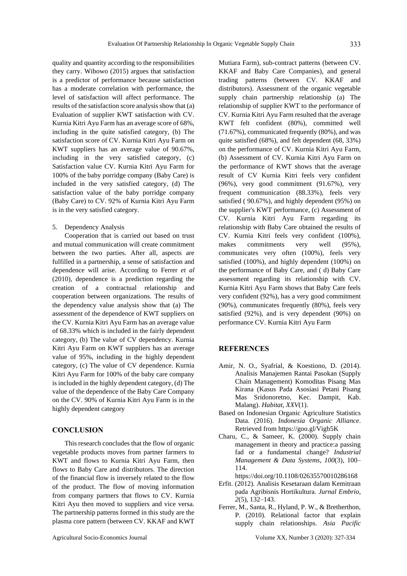333

quality and quantity according to the responsibilities they carry. Wibowo (2015) argues that satisfaction is a predictor of performance because satisfaction has a moderate correlation with performance, the level of satisfaction will affect performance. The results of the satisfaction score analysis show that (a) Evaluation of supplier KWT satisfaction with CV. Kurnia Kitri Ayu Farm has an average score of 68%, including in the quite satisfied category, (b) The satisfaction score of CV. Kurnia Kitri Ayu Farm on KWT suppliers has an average value of 90.67%, including in the very satisfied category, (c) Satisfaction value CV. Kurnia Kitri Ayu Farm for 100% of the baby porridge company (Baby Care) is included in the very satisfied category, (d) The satisfaction value of the baby porridge company (Baby Care) to CV. 92% of Kurnia Kitri Ayu Farm is in the very satisfied category.

5. Dependency Analysis

Cooperation that is carried out based on trust and mutual communication will create commitment between the two parties. After all, aspects are fulfilled in a partnership, a sense of satisfaction and dependence will arise. According to Ferrer *et al*  (2010), dependence is a prediction regarding the creation of a contractual relationship and cooperation between organizations. The results of the dependency value analysis show that (a) The assessment of the dependence of KWT suppliers on the CV. Kurnia Kitri Ayu Farm has an average value of 68.33% which is included in the fairly dependent category, (b) The value of CV dependency. Kurnia Kitri Ayu Farm on KWT suppliers has an average value of 95%, including in the highly dependent category, (c) The value of CV dependence. Kurnia Kitri Ayu Farm for 100% of the baby care company is included in the highly dependent category, (d) The value of the dependence of the Baby Care Company on the CV. 90% of Kurnia Kitri Ayu Farm is in the highly dependent category

# **CONCLUSION**

This research concludes that the flow of organic vegetable products moves from partner farmers to KWT and flows to Kurnia Kitri Ayu Farm, then flows to Baby Care and distributors. The direction of the financial flow is inversely related to the flow of the product. The flow of moving information from company partners that flows to CV. Kurnia Kitri Ayu then moved to suppliers and vice versa. The partnership patterns formed in this study are the plasma core pattern (between CV. KKAF and KWT Mutiara Farm), sub-contract patterns (between CV. KKAF and Baby Care Companies), and general trading patterns (between CV. KKAF and distributors). Assessment of the organic vegetable supply chain partnership relationship (a) The relationship of supplier KWT to the performance of CV. Kurnia Kitri Ayu Farm resulted that the average KWT felt confident (80%), committed well (71.67%), communicated frequently (80%), and was quite satisfied (68%), and felt dependent (68, 33%) on the performance of CV. Kurnia Kitri Ayu Farm, (b) Assessment of CV. Kurnia Kitri Ayu Farm on the performance of KWT shows that the average result of CV Kurnia Kitri feels very confident (96%), very good commitment (91.67%), very frequent communication (88.33%), feels very satisfied ( 90.67%), and highly dependent (95%) on the supplier's KWT performance, (c) Assessment of CV. Kurnia Kitri Ayu Farm regarding its relationship with Baby Care obtained the results of CV. Kurnia Kitri feels very confident (100%), makes commitments very well (95%), communicates very often (100%), feels very satisfied (100%), and highly dependent (100%) on the performance of Baby Care, and ( d) Baby Care assessment regarding its relationship with CV. Kurnia Kitri Ayu Farm shows that Baby Care feels very confident (92%), has a very good commitment (90%), communicates frequently (80%), feels very satisfied (92%), and is very dependent (90%) on performance CV. Kurnia Kitri Ayu Farm

# **REFERENCES**

- Amir, N. O., Syafrial, & Koestiono, D. (2014). Analisis Manajemen Rantai Pasokan (Supply Chain Management) Komoditas Pisang Mas Kirana (Kasus Pada Asosiasi Petani Pisang Mas Sridonoretno, Kec. Dampit, Kab. Malang). *Habitat*, *XXV*(1).
- Based on Indonesian Organic Agriculture Statistics Data. (2016). *Indonesia Organic Alliance*. Retrieved from https://goo.gl/Vigb5K
- Charu, C., & Sameer, K. (2000). Supply chain management in theory and practice:a passing fad or a fundamental change? *Industrial Management & Data Systems*, *100*(3), 100– 114.

https://doi.org/10.1108/02635570010286168

- Erfit. (2012). Analisis Kesetaraan dalam Kemitraan pada Agribisnis Hortikultura. *Jurnal Embrio*, *2*(5), 132–143.
- Ferrer, M., Santa, R., Hyland, P. W., & Bretherthon, P. (2010). Relational factor that explain supply chain relationships. *Asia Pacific*